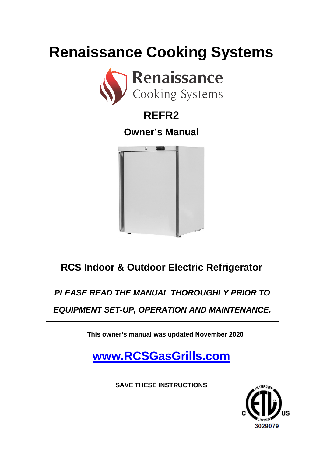# **Renaissance Cooking Systems**



### **REFR2**

### **Owner's Manual**



### **RCS Indoor & Outdoor Electric Refrigerator**

*PLEASE READ THE MANUAL THOROUGHLY PRIOR TO* 

*EQUIPMENT SET-UP, OPERATION AND MAINTENANCE.*

**This owner's manual was updated November 2020**

**[www.RCSGasGrills.com](http://www.rcsgasgrills.com/)**

**SAVE THESE INSTRUCTIONS**

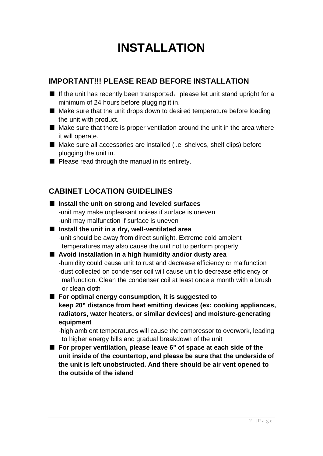## **INSTALLATION**

#### **IMPORTANT!!! PLEASE READ BEFORE INSTALLATION**

- $\blacksquare$  If the unit has recently been transported, please let unit stand upright for a minimum of 24 hours before plugging it in.
- Make sure that the unit drops down to desired temperature before loading the unit with product.
- Make sure that there is proper ventilation around the unit in the area where it will operate.
- Make sure all accessories are installed (i.e. shelves, shelf clips) before plugging the unit in.
- Please read through the manual in its entirety.

#### **CABINET LOCATION GUIDELINES**

**the outside of the island**

| Install the unit on strong and leveled surfaces                                                                                       |
|---------------------------------------------------------------------------------------------------------------------------------------|
| -unit may make unpleasant noises if surface is uneven                                                                                 |
| -unit may malfunction if surface is uneven                                                                                            |
| Install the unit in a dry, well-ventilated area                                                                                       |
| -unit should be away from direct sunlight, Extreme cold ambient                                                                       |
| temperatures may also cause the unit not to perform properly.                                                                         |
| ■ Avoid installation in a high humidity and/or dusty area                                                                             |
| -humidity could cause unit to rust and decrease efficiency or malfunction                                                             |
| -dust collected on condenser coil will cause unit to decrease efficiency or                                                           |
| malfunction. Clean the condenser coil at least once a month with a brush                                                              |
| or clean cloth                                                                                                                        |
| For optimal energy consumption, it is suggested to                                                                                    |
| keep 20" distance from heat emitting devices (ex: cooking appliances,                                                                 |
| radiators, water heaters, or similar devices) and moisture-generating                                                                 |
| equipment                                                                                                                             |
| -high ambient temperatures will cause the compressor to overwork, leading<br>to higher energy bills and gradual breakdown of the unit |
| For proper ventilation, please leave 6" of space at each side of the                                                                  |
| unit inside of the countertop, and please be sure that the underside of                                                               |
| the unit is left unobstructed. And there should be air vent opened to                                                                 |
|                                                                                                                                       |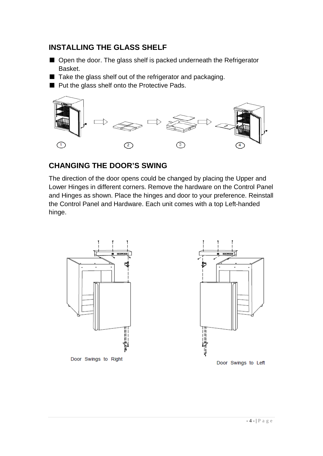#### **INSTALLING THE GLASS SHELF**

- Open the door. The glass shelf is packed underneath the Refrigerator Basket.
- Take the glass shelf out of the refrigerator and packaging.
- Put the glass shelf onto the Protective Pads.



#### **CHANGING THE DOOR'S SWING**

The direction of the door opens could be changed by placing the Upper and Lower Hinges in different corners. Remove the hardware on the Control Panel and Hinges as shown. Place the hinges and door to your preference. Reinstall the Control Panel and Hardware. Each unit comes with a top Left-handed hinge.





Door Swings to Left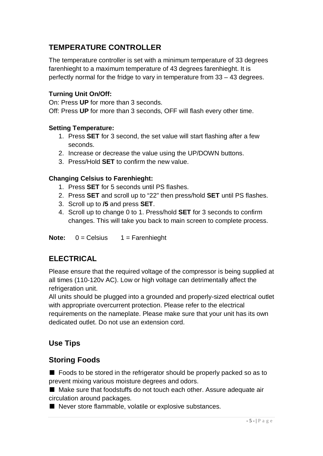#### **TEMPERATURE CONTROLLER**

The temperature controller is set with a minimum temperature of 33 degrees farenhieght to a maximum temperature of 43 degrees farenhieght. It is perfectly normal for the fridge to vary in temperature from 33 – 43 degrees.

#### **Turning Unit On/Off:**

On: Press **UP** for more than 3 seconds.

Off: Press **UP** for more than 3 seconds, OFF will flash every other time.

#### **Setting Temperature:**

- 1. Press **SET** for 3 second, the set value will start flashing after a few seconds.
- 2. Increase or decrease the value using the UP/DOWN buttons.
- 3. Press/Hold **SET** to confirm the new value.

#### **Changing Celsius to Farenhieght:**

- 1. Press **SET** for 5 seconds until PS flashes.
- 2. Press **SET** and scroll up to "22" then press/hold **SET** until PS flashes.
- 3. Scroll up to **/5** and press **SET**.
- 4. Scroll up to change 0 to 1. Press/hold **SET** for 3 seconds to confirm changes. This will take you back to main screen to complete process.

**Note:** 0 = Celsius 1 = Farenhieght

#### **ELECTRICAL**

Please ensure that the required voltage of the compressor is being supplied at all times (110-120v AC). Low or high voltage can detrimentally affect the refrigeration unit.

All units should be plugged into a grounded and properly-sized electrical outlet with appropriate overcurrent protection. Please refer to the electrical requirements on the nameplate. Please make sure that your unit has its own dedicated outlet. Do not use an extension cord.

#### **Use Tips**

#### **Storing Foods**

■ Foods to be stored in the refrigerator should be properly packed so as to prevent mixing various moisture degrees and odors.

■ Make sure that foodstuffs do not touch each other. Assure adequate air circulation around packages.

■ Never store flammable, volatile or explosive substances.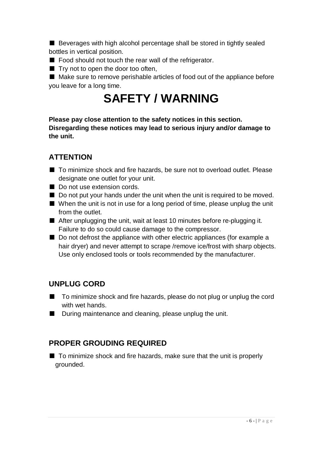■ Beverages with high alcohol percentage shall be stored in tightly sealed bottles in vertical position.

- Food should not touch the rear wall of the refrigerator.
- Try not to open the door too often,

■ Make sure to remove perishable articles of food out of the appliance before you leave for a long time.

## **SAFETY / WARNING**

**Please pay close attention to the safety notices in this section. Disregarding these notices may lead to serious injury and/or damage to the unit.**

#### **ATTENTION**

- To minimize shock and fire hazards, be sure not to overload outlet. Please designate one outlet for your unit.
- Do not use extension cords.
- Do not put your hands under the unit when the unit is required to be moved.
- When the unit is not in use for a long period of time, please unplug the unit from the outlet.
- After unplugging the unit, wait at least 10 minutes before re-plugging it. Failure to do so could cause damage to the compressor.
- Do not defrost the appliance with other electric appliances (for example a hair dryer) and never attempt to scrape /remove ice/frost with sharp objects. Use only enclosed tools or tools recommended by the manufacturer.

#### **UNPLUG CORD**

- To minimize shock and fire hazards, please do not plug or unplug the cord with wet hands.
- During maintenance and cleaning, please unplug the unit.

#### **PROPER GROUDING REQUIRED**

■ To minimize shock and fire hazards, make sure that the unit is properly grounded.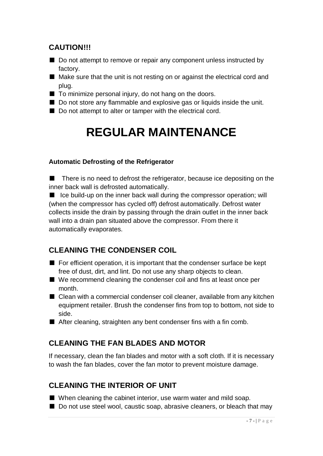#### **CAUTION!!!**

- Do not attempt to remove or repair any component unless instructed by factory.
- Make sure that the unit is not resting on or against the electrical cord and plug.
- To minimize personal injury, do not hang on the doors.
- Do not store any flammable and explosive gas or liquids inside the unit.
- Do not attempt to alter or tamper with the electrical cord.

## **REGULAR MAINTENANCE**

#### **Automatic Defrosting of the Refrigerator**

■ There is no need to defrost the refrigerator, because ice depositing on the inner back wall is defrosted automatically.

■ Ice build-up on the inner back wall during the compressor operation; will (when the compressor has cycled off) defrost automatically. Defrost water collects inside the drain by passing through the drain outlet in the inner back wall into a drain pan situated above the compressor. From there it automatically evaporates.

#### **CLEANING THE CONDENSER COIL**

- For efficient operation, it is important that the condenser surface be kept free of dust, dirt, and lint. Do not use any sharp objects to clean.
- We recommend cleaning the condenser coil and fins at least once per month.
- Clean with a commercial condenser coil cleaner, available from any kitchen equipment retailer. Brush the condenser fins from top to bottom, not side to side.
- After cleaning, straighten any bent condenser fins with a fin comb.

#### **CLEANING THE FAN BLADES AND MOTOR**

If necessary, clean the fan blades and motor with a soft cloth. If it is necessary to wash the fan blades, cover the fan motor to prevent moisture damage.

#### **CLEANING THE INTERIOR OF UNIT**

- When cleaning the cabinet interior, use warm water and mild soap.
- Do not use steel wool, caustic soap, abrasive cleaners, or bleach that may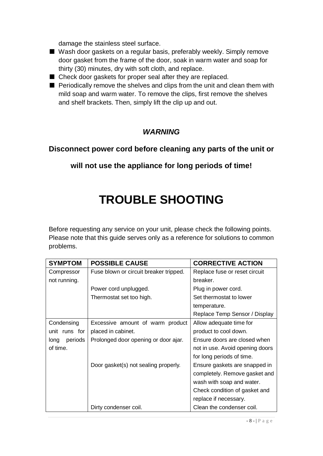damage the stainless steel surface.

- Wash door gaskets on a regular basis, preferably weekly. Simply remove door gasket from the frame of the door, soak in warm water and soap for thirty (30) minutes, dry with soft cloth, and replace.
- Check door gaskets for proper seal after they are replaced.
- Periodically remove the shelves and clips from the unit and clean them with mild soap and warm water. To remove the clips, first remove the shelves and shelf brackets. Then, simply lift the clip up and out.

#### *WARNING*

#### **Disconnect power cord before cleaning any parts of the unit or**

**will not use the appliance for long periods of time!**

### **TROUBLE SHOOTING**

Before requesting any service on your unit, please check the following points. Please note that this guide serves only as a reference for solutions to common problems.

| <b>SYMPTOM</b>  | <b>POSSIBLE CAUSE</b>                  | <b>CORRECTIVE ACTION</b>        |  |
|-----------------|----------------------------------------|---------------------------------|--|
| Compressor      | Fuse blown or circuit breaker tripped. | Replace fuse or reset circuit   |  |
| not running.    |                                        | breaker.                        |  |
|                 | Power cord unplugged.                  | Plug in power cord.             |  |
|                 | Thermostat set too high.               | Set thermostat to lower         |  |
|                 |                                        | temperature.                    |  |
|                 |                                        | Replace Temp Sensor / Display   |  |
| Condensing      | Excessive amount of warm product       | Allow adequate time for         |  |
| unit runs for   | placed in cabinet.                     | product to cool down.           |  |
| periods<br>long | Prolonged door opening or door ajar.   | Ensure doors are closed when    |  |
| of time.        |                                        | not in use. Avoid opening doors |  |
|                 |                                        | for long periods of time.       |  |
|                 | Door gasket(s) not sealing properly.   | Ensure gaskets are snapped in   |  |
|                 |                                        | completely. Remove gasket and   |  |
|                 |                                        | wash with soap and water.       |  |
|                 |                                        | Check condition of gasket and   |  |
|                 |                                        | replace if necessary.           |  |
|                 | Dirty condenser coil.                  | Clean the condenser coil.       |  |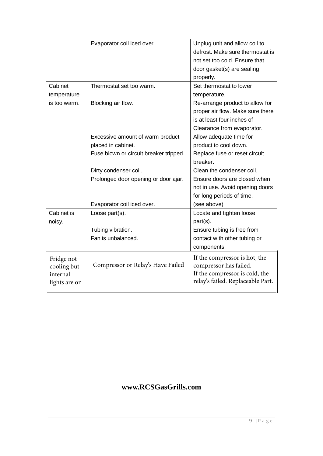|               | Evaporator coil iced over.             | Unplug unit and allow coil to     |
|---------------|----------------------------------------|-----------------------------------|
|               |                                        | defrost. Make sure thermostat is  |
|               |                                        | not set too cold. Ensure that     |
|               |                                        | door gasket(s) are sealing        |
|               |                                        | properly.                         |
| Cabinet       | Thermostat set too warm.               | Set thermostat to lower           |
| temperature   |                                        | temperature.                      |
| is too warm.  | Blocking air flow.                     | Re-arrange product to allow for   |
|               |                                        | proper air flow. Make sure there  |
|               |                                        | is at least four inches of        |
|               |                                        | Clearance from evaporator.        |
|               | Excessive amount of warm product       | Allow adequate time for           |
|               | placed in cabinet.                     | product to cool down.             |
|               | Fuse blown or circuit breaker tripped. | Replace fuse or reset circuit     |
|               |                                        | breaker.                          |
|               | Dirty condenser coil.                  | Clean the condenser coil.         |
|               | Prolonged door opening or door ajar.   | Ensure doors are closed when      |
|               |                                        | not in use. Avoid opening doors   |
|               |                                        | for long periods of time.         |
|               | Evaporator coil iced over.             | (see above)                       |
| Cabinet is    | Loose part(s).                         | Locate and tighten loose          |
| noisy.        |                                        | part(s).                          |
|               | Tubing vibration.                      | Ensure tubing is free from        |
|               | Fan is unbalanced.                     | contact with other tubing or      |
|               |                                        | components.                       |
| Fridge not    |                                        | If the compressor is hot, the     |
| cooling but   | Compressor or Relay's Have Failed      | compressor has failed.            |
| internal      |                                        | If the compressor is cold, the    |
| lights are on |                                        | relay's failed. Replaceable Part. |
|               |                                        |                                   |

#### **www.RCSGasGrills.com**